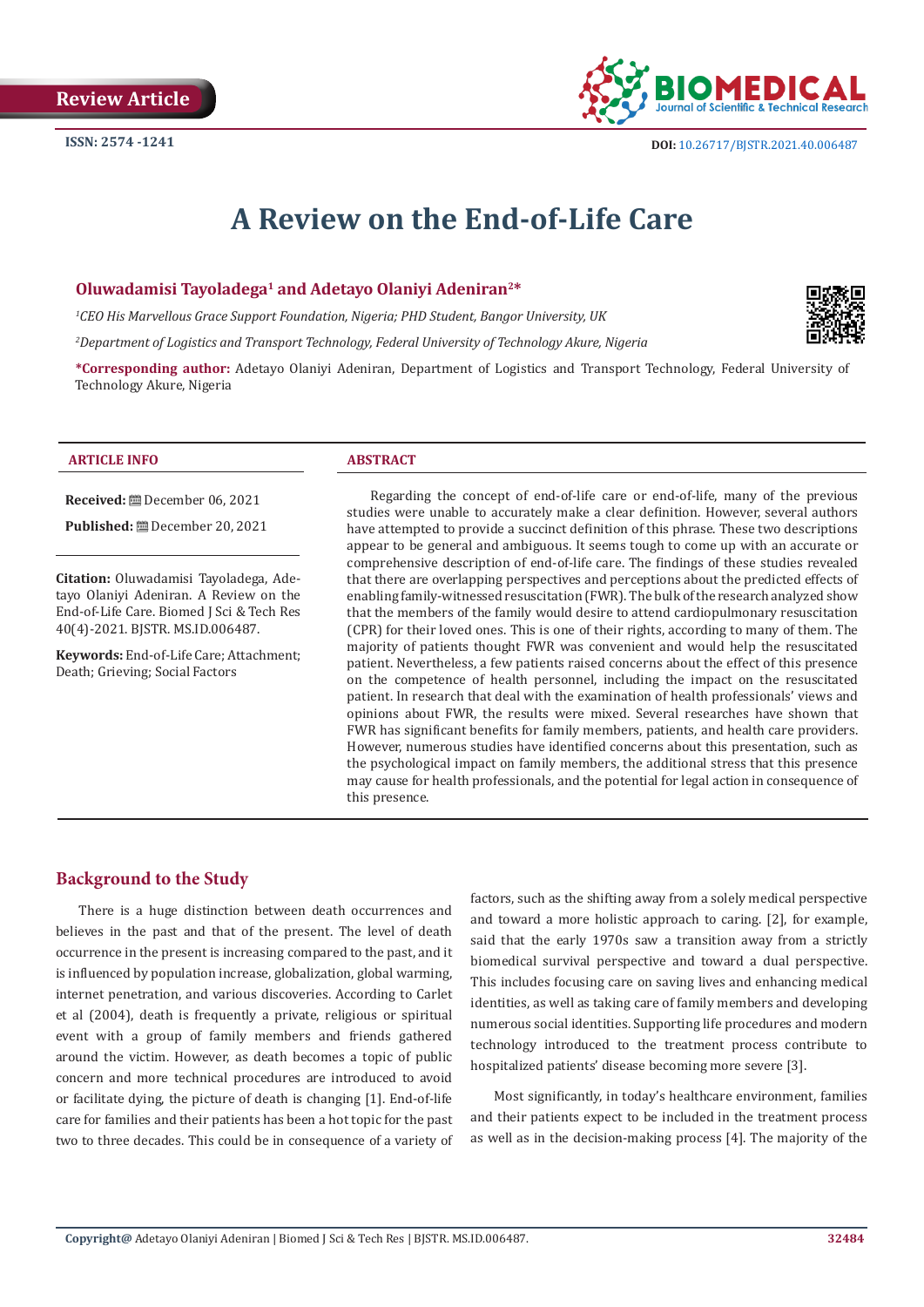

# **A Review on the End-of-Life Care**

# **Oluwadamisi Tayoladega1 and Adetayo Olaniyi Adeniran2\***

*1 CEO His Marvellous Grace Support Foundation, Nigeria; PHD Student, Bangor University, UK*

*2 Department of Logistics and Transport Technology, Federal University of Technology Akure, Nigeria*

**\*Corresponding author:** Adetayo Olaniyi Adeniran, Department of Logistics and Transport Technology, Federal University of Technology Akure, Nigeria



#### **Received:** December 06, 2021

**Published:** December 20, 2021

**Citation:** Oluwadamisi Tayoladega, Adetayo Olaniyi Adeniran. A Review on the End-of-Life Care. Biomed J Sci & Tech Res 40(4)-2021. BJSTR. MS.ID.006487.

**Keywords:** End-of-Life Care; Attachment; Death; Grieving; Social Factors

Regarding the concept of end-of-life care or end-of-life, many of the previous studies were unable to accurately make a clear definition. However, several authors have attempted to provide a succinct definition of this phrase. These two descriptions appear to be general and ambiguous. It seems tough to come up with an accurate or comprehensive description of end-of-life care. The findings of these studies revealed that there are overlapping perspectives and perceptions about the predicted effects of enabling family-witnessed resuscitation (FWR). The bulk of the research analyzed show that the members of the family would desire to attend cardiopulmonary resuscitation (CPR) for their loved ones. This is one of their rights, according to many of them. The majority of patients thought FWR was convenient and would help the resuscitated patient. Nevertheless, a few patients raised concerns about the effect of this presence on the competence of health personnel, including the impact on the resuscitated patient. In research that deal with the examination of health professionals' views and opinions about FWR, the results were mixed. Several researches have shown that FWR has significant benefits for family members, patients, and health care providers. However, numerous studies have identified concerns about this presentation, such as the psychological impact on family members, the additional stress that this presence may cause for health professionals, and the potential for legal action in consequence of this presence.

# **Background to the Study**

There is a huge distinction between death occurrences and believes in the past and that of the present. The level of death occurrence in the present is increasing compared to the past, and it is influenced by population increase, globalization, global warming, internet penetration, and various discoveries. According to Carlet et al (2004), death is frequently a private, religious or spiritual event with a group of family members and friends gathered around the victim. However, as death becomes a topic of public concern and more technical procedures are introduced to avoid or facilitate dying, the picture of death is changing [1]. End-of-life care for families and their patients has been a hot topic for the past two to three decades. This could be in consequence of a variety of factors, such as the shifting away from a solely medical perspective and toward a more holistic approach to caring. [2], for example, said that the early 1970s saw a transition away from a strictly biomedical survival perspective and toward a dual perspective. This includes focusing care on saving lives and enhancing medical identities, as well as taking care of family members and developing numerous social identities. Supporting life procedures and modern technology introduced to the treatment process contribute to hospitalized patients' disease becoming more severe [3].

Most significantly, in today's healthcare environment, families and their patients expect to be included in the treatment process as well as in the decision-making process [4]. The majority of the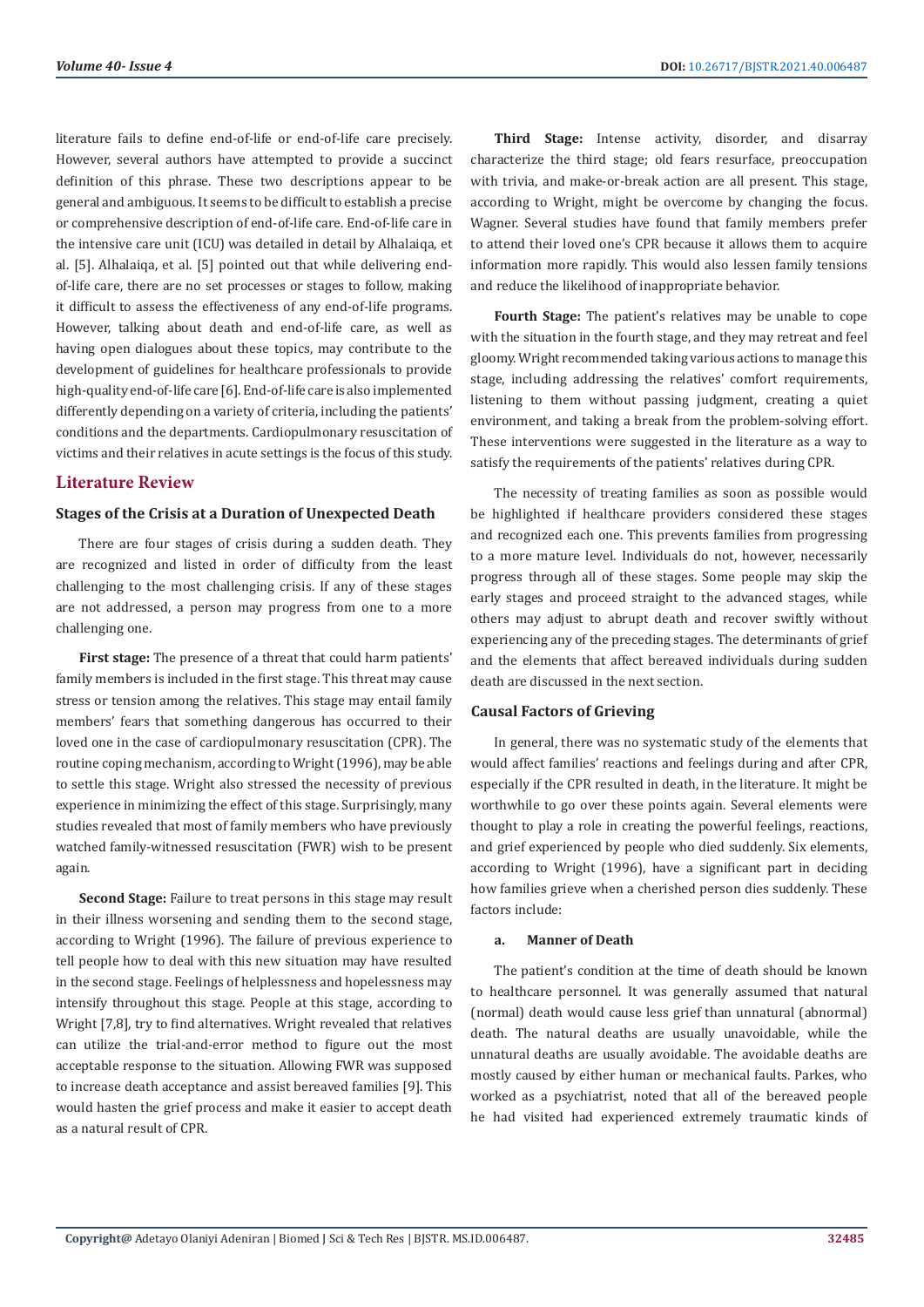literature fails to define end-of-life or end-of-life care precisely. However, several authors have attempted to provide a succinct definition of this phrase. These two descriptions appear to be general and ambiguous. It seems to be difficult to establish a precise or comprehensive description of end-of-life care. End-of-life care in the intensive care unit (ICU) was detailed in detail by Alhalaiqa, et al. [5]. Alhalaiqa, et al. [5] pointed out that while delivering endof-life care, there are no set processes or stages to follow, making it difficult to assess the effectiveness of any end-of-life programs. However, talking about death and end-of-life care, as well as having open dialogues about these topics, may contribute to the development of guidelines for healthcare professionals to provide high-quality end-of-life care [6]. End-of-life care is also implemented differently depending on a variety of criteria, including the patients' conditions and the departments. Cardiopulmonary resuscitation of victims and their relatives in acute settings is the focus of this study.

# **Literature Review**

#### **Stages of the Crisis at a Duration of Unexpected Death**

There are four stages of crisis during a sudden death. They are recognized and listed in order of difficulty from the least challenging to the most challenging crisis. If any of these stages are not addressed, a person may progress from one to a more challenging one.

**First stage:** The presence of a threat that could harm patients' family members is included in the first stage. This threat may cause stress or tension among the relatives. This stage may entail family members' fears that something dangerous has occurred to their loved one in the case of cardiopulmonary resuscitation (CPR). The routine coping mechanism, according to Wright (1996), may be able to settle this stage. Wright also stressed the necessity of previous experience in minimizing the effect of this stage. Surprisingly, many studies revealed that most of family members who have previously watched family-witnessed resuscitation (FWR) wish to be present again.

**Second Stage:** Failure to treat persons in this stage may result in their illness worsening and sending them to the second stage, according to Wright (1996). The failure of previous experience to tell people how to deal with this new situation may have resulted in the second stage. Feelings of helplessness and hopelessness may intensify throughout this stage. People at this stage, according to Wright [7,8], try to find alternatives. Wright revealed that relatives can utilize the trial-and-error method to figure out the most acceptable response to the situation. Allowing FWR was supposed to increase death acceptance and assist bereaved families [9]. This would hasten the grief process and make it easier to accept death as a natural result of CPR.

**Third Stage:** Intense activity, disorder, and disarray characterize the third stage; old fears resurface, preoccupation with trivia, and make-or-break action are all present. This stage, according to Wright, might be overcome by changing the focus. Wagner. Several studies have found that family members prefer to attend their loved one's CPR because it allows them to acquire information more rapidly. This would also lessen family tensions and reduce the likelihood of inappropriate behavior.

**Fourth Stage:** The patient's relatives may be unable to cope with the situation in the fourth stage, and they may retreat and feel gloomy. Wright recommended taking various actions to manage this stage, including addressing the relatives' comfort requirements, listening to them without passing judgment, creating a quiet environment, and taking a break from the problem-solving effort. These interventions were suggested in the literature as a way to satisfy the requirements of the patients' relatives during CPR.

The necessity of treating families as soon as possible would be highlighted if healthcare providers considered these stages and recognized each one. This prevents families from progressing to a more mature level. Individuals do not, however, necessarily progress through all of these stages. Some people may skip the early stages and proceed straight to the advanced stages, while others may adjust to abrupt death and recover swiftly without experiencing any of the preceding stages. The determinants of grief and the elements that affect bereaved individuals during sudden death are discussed in the next section.

#### **Causal Factors of Grieving**

In general, there was no systematic study of the elements that would affect families' reactions and feelings during and after CPR, especially if the CPR resulted in death, in the literature. It might be worthwhile to go over these points again. Several elements were thought to play a role in creating the powerful feelings, reactions, and grief experienced by people who died suddenly. Six elements, according to Wright (1996), have a significant part in deciding how families grieve when a cherished person dies suddenly. These factors include:

#### **a. Manner of Death**

The patient's condition at the time of death should be known to healthcare personnel. It was generally assumed that natural (normal) death would cause less grief than unnatural (abnormal) death. The natural deaths are usually unavoidable, while the unnatural deaths are usually avoidable. The avoidable deaths are mostly caused by either human or mechanical faults. Parkes, who worked as a psychiatrist, noted that all of the bereaved people he had visited had experienced extremely traumatic kinds of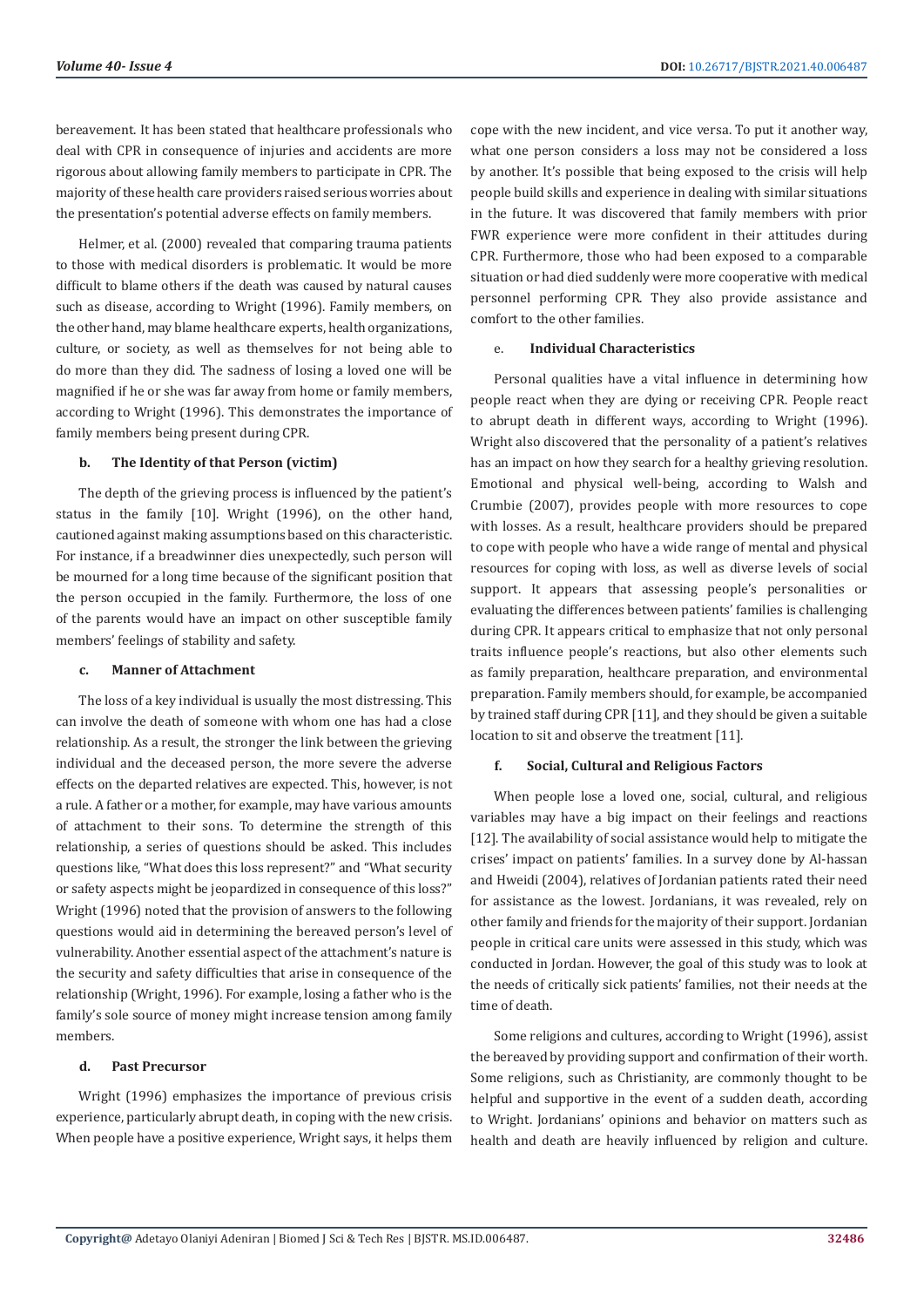bereavement. It has been stated that healthcare professionals who deal with CPR in consequence of injuries and accidents are more rigorous about allowing family members to participate in CPR. The majority of these health care providers raised serious worries about the presentation's potential adverse effects on family members.

Helmer, et al. (2000) revealed that comparing trauma patients to those with medical disorders is problematic. It would be more difficult to blame others if the death was caused by natural causes such as disease, according to Wright (1996). Family members, on the other hand, may blame healthcare experts, health organizations, culture, or society, as well as themselves for not being able to do more than they did. The sadness of losing a loved one will be magnified if he or she was far away from home or family members, according to Wright (1996). This demonstrates the importance of family members being present during CPR.

#### **b. The Identity of that Person (victim)**

The depth of the grieving process is influenced by the patient's status in the family [10]. Wright (1996), on the other hand, cautioned against making assumptions based on this characteristic. For instance, if a breadwinner dies unexpectedly, such person will be mourned for a long time because of the significant position that the person occupied in the family. Furthermore, the loss of one of the parents would have an impact on other susceptible family members' feelings of stability and safety.

#### **c. Manner of Attachment**

The loss of a key individual is usually the most distressing. This can involve the death of someone with whom one has had a close relationship. As a result, the stronger the link between the grieving individual and the deceased person, the more severe the adverse effects on the departed relatives are expected. This, however, is not a rule. A father or a mother, for example, may have various amounts of attachment to their sons. To determine the strength of this relationship, a series of questions should be asked. This includes questions like, "What does this loss represent?" and "What security or safety aspects might be jeopardized in consequence of this loss?" Wright (1996) noted that the provision of answers to the following questions would aid in determining the bereaved person's level of vulnerability. Another essential aspect of the attachment's nature is the security and safety difficulties that arise in consequence of the relationship (Wright, 1996). For example, losing a father who is the family's sole source of money might increase tension among family members.

#### **d. Past Precursor**

Wright (1996) emphasizes the importance of previous crisis experience, particularly abrupt death, in coping with the new crisis. When people have a positive experience, Wright says, it helps them cope with the new incident, and vice versa. To put it another way, what one person considers a loss may not be considered a loss by another. It's possible that being exposed to the crisis will help people build skills and experience in dealing with similar situations in the future. It was discovered that family members with prior FWR experience were more confident in their attitudes during CPR. Furthermore, those who had been exposed to a comparable situation or had died suddenly were more cooperative with medical personnel performing CPR. They also provide assistance and comfort to the other families.

#### e. **Individual Characteristics**

Personal qualities have a vital influence in determining how people react when they are dying or receiving CPR. People react to abrupt death in different ways, according to Wright (1996). Wright also discovered that the personality of a patient's relatives has an impact on how they search for a healthy grieving resolution. Emotional and physical well-being, according to Walsh and Crumbie (2007), provides people with more resources to cope with losses. As a result, healthcare providers should be prepared to cope with people who have a wide range of mental and physical resources for coping with loss, as well as diverse levels of social support. It appears that assessing people's personalities or evaluating the differences between patients' families is challenging during CPR. It appears critical to emphasize that not only personal traits influence people's reactions, but also other elements such as family preparation, healthcare preparation, and environmental preparation. Family members should, for example, be accompanied by trained staff during CPR [11], and they should be given a suitable location to sit and observe the treatment [11].

#### **f. Social, Cultural and Religious Factors**

When people lose a loved one, social, cultural, and religious variables may have a big impact on their feelings and reactions [12]. The availability of social assistance would help to mitigate the crises' impact on patients' families. In a survey done by Al-hassan and Hweidi (2004), relatives of Jordanian patients rated their need for assistance as the lowest. Jordanians, it was revealed, rely on other family and friends for the majority of their support. Jordanian people in critical care units were assessed in this study, which was conducted in Jordan. However, the goal of this study was to look at the needs of critically sick patients' families, not their needs at the time of death.

Some religions and cultures, according to Wright (1996), assist the bereaved by providing support and confirmation of their worth. Some religions, such as Christianity, are commonly thought to be helpful and supportive in the event of a sudden death, according to Wright. Jordanians' opinions and behavior on matters such as health and death are heavily influenced by religion and culture.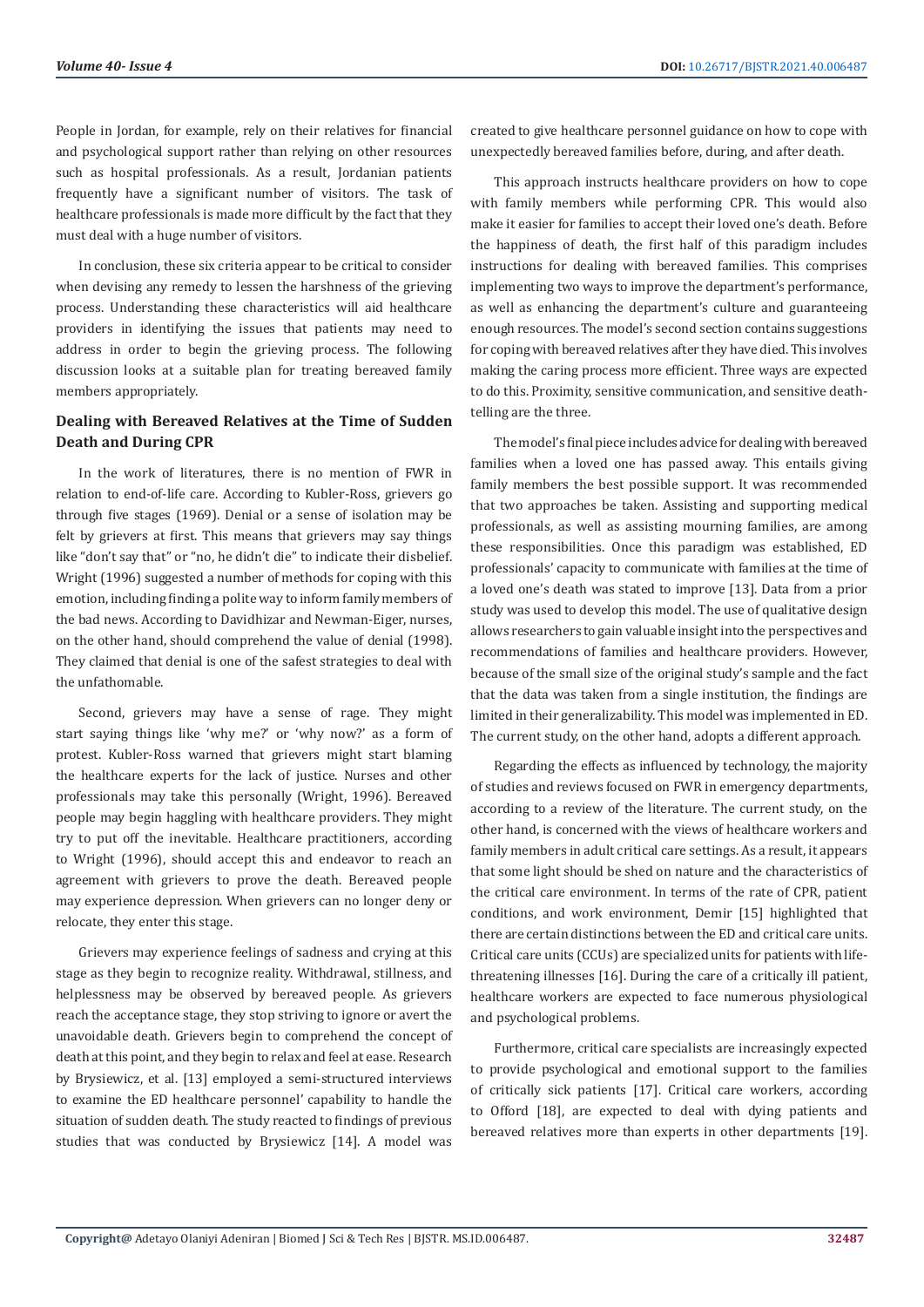People in Jordan, for example, rely on their relatives for financial and psychological support rather than relying on other resources such as hospital professionals. As a result, Jordanian patients frequently have a significant number of visitors. The task of healthcare professionals is made more difficult by the fact that they must deal with a huge number of visitors.

In conclusion, these six criteria appear to be critical to consider when devising any remedy to lessen the harshness of the grieving process. Understanding these characteristics will aid healthcare providers in identifying the issues that patients may need to address in order to begin the grieving process. The following discussion looks at a suitable plan for treating bereaved family members appropriately.

# **Dealing with Bereaved Relatives at the Time of Sudden Death and During CPR**

In the work of literatures, there is no mention of FWR in relation to end-of-life care. According to Kubler-Ross, grievers go through five stages (1969). Denial or a sense of isolation may be felt by grievers at first. This means that grievers may say things like "don't say that" or "no, he didn't die" to indicate their disbelief. Wright (1996) suggested a number of methods for coping with this emotion, including finding a polite way to inform family members of the bad news. According to Davidhizar and Newman-Eiger, nurses, on the other hand, should comprehend the value of denial (1998). They claimed that denial is one of the safest strategies to deal with the unfathomable.

Second, grievers may have a sense of rage. They might start saying things like 'why me?' or 'why now?' as a form of protest. Kubler-Ross warned that grievers might start blaming the healthcare experts for the lack of justice. Nurses and other professionals may take this personally (Wright, 1996). Bereaved people may begin haggling with healthcare providers. They might try to put off the inevitable. Healthcare practitioners, according to Wright (1996), should accept this and endeavor to reach an agreement with grievers to prove the death. Bereaved people may experience depression. When grievers can no longer deny or relocate, they enter this stage.

Grievers may experience feelings of sadness and crying at this stage as they begin to recognize reality. Withdrawal, stillness, and helplessness may be observed by bereaved people. As grievers reach the acceptance stage, they stop striving to ignore or avert the unavoidable death. Grievers begin to comprehend the concept of death at this point, and they begin to relax and feel at ease. Research by Brysiewicz, et al. [13] employed a semi-structured interviews to examine the ED healthcare personnel' capability to handle the situation of sudden death. The study reacted to findings of previous studies that was conducted by Brysiewicz [14]. A model was

created to give healthcare personnel guidance on how to cope with unexpectedly bereaved families before, during, and after death.

This approach instructs healthcare providers on how to cope with family members while performing CPR. This would also make it easier for families to accept their loved one's death. Before the happiness of death, the first half of this paradigm includes instructions for dealing with bereaved families. This comprises implementing two ways to improve the department's performance, as well as enhancing the department's culture and guaranteeing enough resources. The model's second section contains suggestions for coping with bereaved relatives after they have died. This involves making the caring process more efficient. Three ways are expected to do this. Proximity, sensitive communication, and sensitive deathtelling are the three.

The model's final piece includes advice for dealing with bereaved families when a loved one has passed away. This entails giving family members the best possible support. It was recommended that two approaches be taken. Assisting and supporting medical professionals, as well as assisting mourning families, are among these responsibilities. Once this paradigm was established, ED professionals' capacity to communicate with families at the time of a loved one's death was stated to improve [13]. Data from a prior study was used to develop this model. The use of qualitative design allows researchers to gain valuable insight into the perspectives and recommendations of families and healthcare providers. However, because of the small size of the original study's sample and the fact that the data was taken from a single institution, the findings are limited in their generalizability. This model was implemented in ED. The current study, on the other hand, adopts a different approach.

Regarding the effects as influenced by technology, the majority of studies and reviews focused on FWR in emergency departments, according to a review of the literature. The current study, on the other hand, is concerned with the views of healthcare workers and family members in adult critical care settings. As a result, it appears that some light should be shed on nature and the characteristics of the critical care environment. In terms of the rate of CPR, patient conditions, and work environment, Demir [15] highlighted that there are certain distinctions between the ED and critical care units. Critical care units (CCUs) are specialized units for patients with lifethreatening illnesses [16]. During the care of a critically ill patient, healthcare workers are expected to face numerous physiological and psychological problems.

Furthermore, critical care specialists are increasingly expected to provide psychological and emotional support to the families of critically sick patients [17]. Critical care workers, according to Offord [18], are expected to deal with dying patients and bereaved relatives more than experts in other departments [19].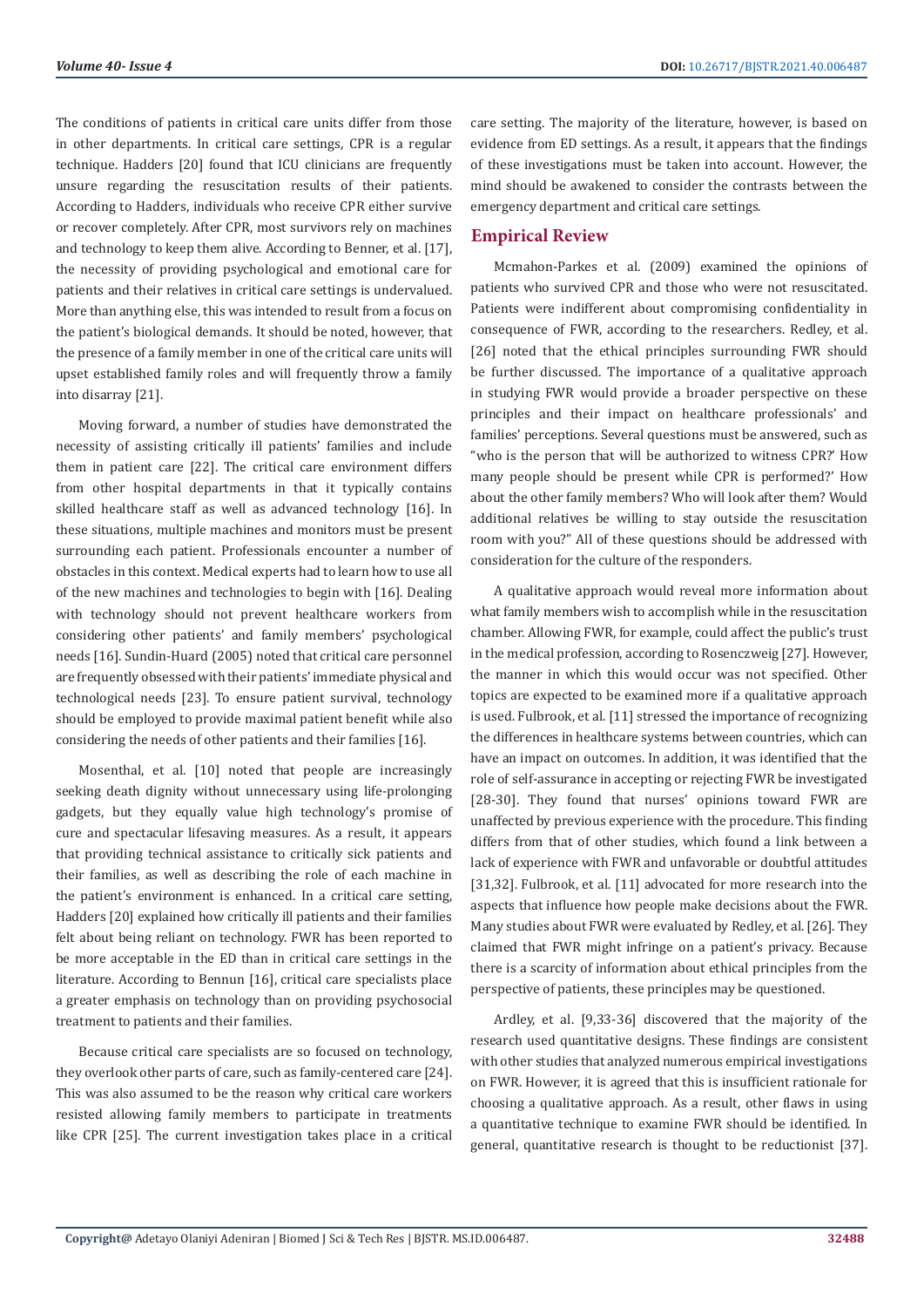The conditions of patients in critical care units differ from those in other departments. In critical care settings, CPR is a regular technique. Hadders [20] found that ICU clinicians are frequently unsure regarding the resuscitation results of their patients. According to Hadders, individuals who receive CPR either survive or recover completely. After CPR, most survivors rely on machines and technology to keep them alive. According to Benner, et al. [17], the necessity of providing psychological and emotional care for patients and their relatives in critical care settings is undervalued. More than anything else, this was intended to result from a focus on the patient's biological demands. It should be noted, however, that the presence of a family member in one of the critical care units will upset established family roles and will frequently throw a family into disarray [21].

Moving forward, a number of studies have demonstrated the necessity of assisting critically ill patients' families and include them in patient care [22]. The critical care environment differs from other hospital departments in that it typically contains skilled healthcare staff as well as advanced technology [16]. In these situations, multiple machines and monitors must be present surrounding each patient. Professionals encounter a number of obstacles in this context. Medical experts had to learn how to use all of the new machines and technologies to begin with [16]. Dealing with technology should not prevent healthcare workers from considering other patients' and family members' psychological needs [16]. Sundin-Huard (2005) noted that critical care personnel are frequently obsessed with their patients' immediate physical and technological needs [23]. To ensure patient survival, technology should be employed to provide maximal patient benefit while also considering the needs of other patients and their families [16].

Mosenthal, et al. [10] noted that people are increasingly seeking death dignity without unnecessary using life-prolonging gadgets, but they equally value high technology's promise of cure and spectacular lifesaving measures. As a result, it appears that providing technical assistance to critically sick patients and their families, as well as describing the role of each machine in the patient's environment is enhanced. In a critical care setting, Hadders [20] explained how critically ill patients and their families felt about being reliant on technology. FWR has been reported to be more acceptable in the ED than in critical care settings in the literature. According to Bennun [16], critical care specialists place a greater emphasis on technology than on providing psychosocial treatment to patients and their families.

Because critical care specialists are so focused on technology, they overlook other parts of care, such as family-centered care [24]. This was also assumed to be the reason why critical care workers resisted allowing family members to participate in treatments like CPR [25]. The current investigation takes place in a critical

care setting. The majority of the literature, however, is based on evidence from ED settings. As a result, it appears that the findings of these investigations must be taken into account. However, the mind should be awakened to consider the contrasts between the emergency department and critical care settings.

# **Empirical Review**

Mcmahon-Parkes et al. (2009) examined the opinions of patients who survived CPR and those who were not resuscitated. Patients were indifferent about compromising confidentiality in consequence of FWR, according to the researchers. Redley, et al. [26] noted that the ethical principles surrounding FWR should be further discussed. The importance of a qualitative approach in studying FWR would provide a broader perspective on these principles and their impact on healthcare professionals' and families' perceptions. Several questions must be answered, such as "who is the person that will be authorized to witness CPR?' How many people should be present while CPR is performed?' How about the other family members? Who will look after them? Would additional relatives be willing to stay outside the resuscitation room with you?" All of these questions should be addressed with consideration for the culture of the responders.

A qualitative approach would reveal more information about what family members wish to accomplish while in the resuscitation chamber. Allowing FWR, for example, could affect the public's trust in the medical profession, according to Rosenczweig [27]. However, the manner in which this would occur was not specified. Other topics are expected to be examined more if a qualitative approach is used. Fulbrook, et al. [11] stressed the importance of recognizing the differences in healthcare systems between countries, which can have an impact on outcomes. In addition, it was identified that the role of self-assurance in accepting or rejecting FWR be investigated [28-30]. They found that nurses' opinions toward FWR are unaffected by previous experience with the procedure. This finding differs from that of other studies, which found a link between a lack of experience with FWR and unfavorable or doubtful attitudes [31,32]. Fulbrook, et al. [11] advocated for more research into the aspects that influence how people make decisions about the FWR. Many studies about FWR were evaluated by Redley, et al. [26]. They claimed that FWR might infringe on a patient's privacy. Because there is a scarcity of information about ethical principles from the perspective of patients, these principles may be questioned.

Ardley, et al. [9,33-36] discovered that the majority of the research used quantitative designs. These findings are consistent with other studies that analyzed numerous empirical investigations on FWR. However, it is agreed that this is insufficient rationale for choosing a qualitative approach. As a result, other flaws in using a quantitative technique to examine FWR should be identified. In general, quantitative research is thought to be reductionist [37].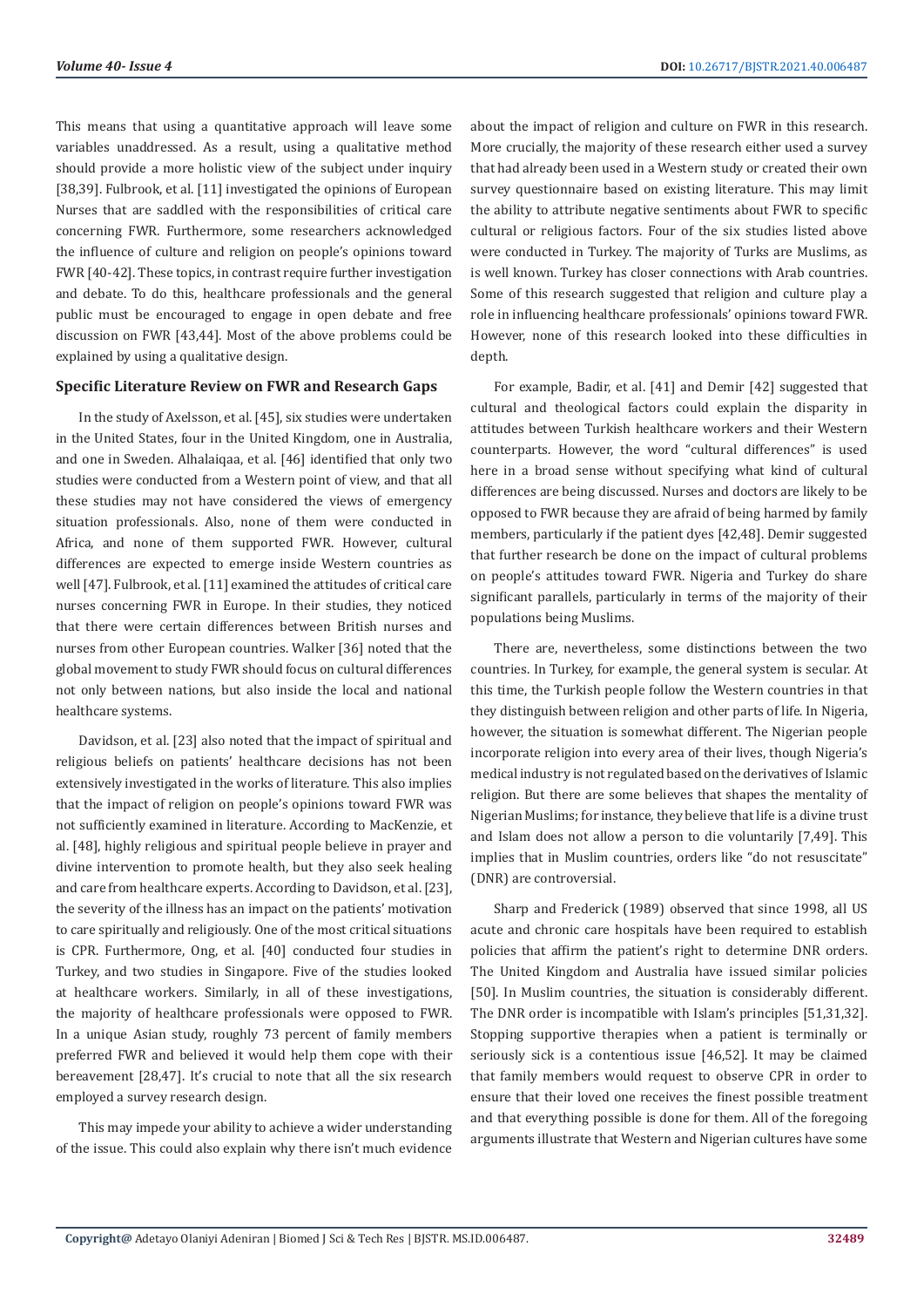This means that using a quantitative approach will leave some variables unaddressed. As a result, using a qualitative method should provide a more holistic view of the subject under inquiry [38,39]. Fulbrook, et al. [11] investigated the opinions of European Nurses that are saddled with the responsibilities of critical care concerning FWR. Furthermore, some researchers acknowledged the influence of culture and religion on people's opinions toward FWR [40-42]. These topics, in contrast require further investigation and debate. To do this, healthcare professionals and the general public must be encouraged to engage in open debate and free discussion on FWR [43,44]. Most of the above problems could be explained by using a qualitative design.

#### **Specific Literature Review on FWR and Research Gaps**

In the study of Axelsson, et al. [45], six studies were undertaken in the United States, four in the United Kingdom, one in Australia, and one in Sweden. Alhalaiqaa, et al. [46] identified that only two studies were conducted from a Western point of view, and that all these studies may not have considered the views of emergency situation professionals. Also, none of them were conducted in Africa, and none of them supported FWR. However, cultural differences are expected to emerge inside Western countries as well [47]. Fulbrook, et al. [11] examined the attitudes of critical care nurses concerning FWR in Europe. In their studies, they noticed that there were certain differences between British nurses and nurses from other European countries. Walker [36] noted that the global movement to study FWR should focus on cultural differences not only between nations, but also inside the local and national healthcare systems.

Davidson, et al. [23] also noted that the impact of spiritual and religious beliefs on patients' healthcare decisions has not been extensively investigated in the works of literature. This also implies that the impact of religion on people's opinions toward FWR was not sufficiently examined in literature. According to MacKenzie, et al. [48], highly religious and spiritual people believe in prayer and divine intervention to promote health, but they also seek healing and care from healthcare experts. According to Davidson, et al. [23], the severity of the illness has an impact on the patients' motivation to care spiritually and religiously. One of the most critical situations is CPR. Furthermore, Ong, et al. [40] conducted four studies in Turkey, and two studies in Singapore. Five of the studies looked at healthcare workers. Similarly, in all of these investigations, the majority of healthcare professionals were opposed to FWR. In a unique Asian study, roughly 73 percent of family members preferred FWR and believed it would help them cope with their bereavement [28,47]. It's crucial to note that all the six research employed a survey research design.

This may impede your ability to achieve a wider understanding of the issue. This could also explain why there isn't much evidence about the impact of religion and culture on FWR in this research. More crucially, the majority of these research either used a survey that had already been used in a Western study or created their own survey questionnaire based on existing literature. This may limit the ability to attribute negative sentiments about FWR to specific cultural or religious factors. Four of the six studies listed above were conducted in Turkey. The majority of Turks are Muslims, as is well known. Turkey has closer connections with Arab countries. Some of this research suggested that religion and culture play a role in influencing healthcare professionals' opinions toward FWR. However, none of this research looked into these difficulties in depth.

For example, Badir, et al. [41] and Demir [42] suggested that cultural and theological factors could explain the disparity in attitudes between Turkish healthcare workers and their Western counterparts. However, the word "cultural differences" is used here in a broad sense without specifying what kind of cultural differences are being discussed. Nurses and doctors are likely to be opposed to FWR because they are afraid of being harmed by family members, particularly if the patient dyes [42,48]. Demir suggested that further research be done on the impact of cultural problems on people's attitudes toward FWR. Nigeria and Turkey do share significant parallels, particularly in terms of the majority of their populations being Muslims.

There are, nevertheless, some distinctions between the two countries. In Turkey, for example, the general system is secular. At this time, the Turkish people follow the Western countries in that they distinguish between religion and other parts of life. In Nigeria, however, the situation is somewhat different. The Nigerian people incorporate religion into every area of their lives, though Nigeria's medical industry is not regulated based on the derivatives of Islamic religion. But there are some believes that shapes the mentality of Nigerian Muslims; for instance, they believe that life is a divine trust and Islam does not allow a person to die voluntarily [7,49]. This implies that in Muslim countries, orders like "do not resuscitate" (DNR) are controversial.

Sharp and Frederick (1989) observed that since 1998, all US acute and chronic care hospitals have been required to establish policies that affirm the patient's right to determine DNR orders. The United Kingdom and Australia have issued similar policies [50]. In Muslim countries, the situation is considerably different. The DNR order is incompatible with Islam's principles [51,31,32]. Stopping supportive therapies when a patient is terminally or seriously sick is a contentious issue [46,52]. It may be claimed that family members would request to observe CPR in order to ensure that their loved one receives the finest possible treatment and that everything possible is done for them. All of the foregoing arguments illustrate that Western and Nigerian cultures have some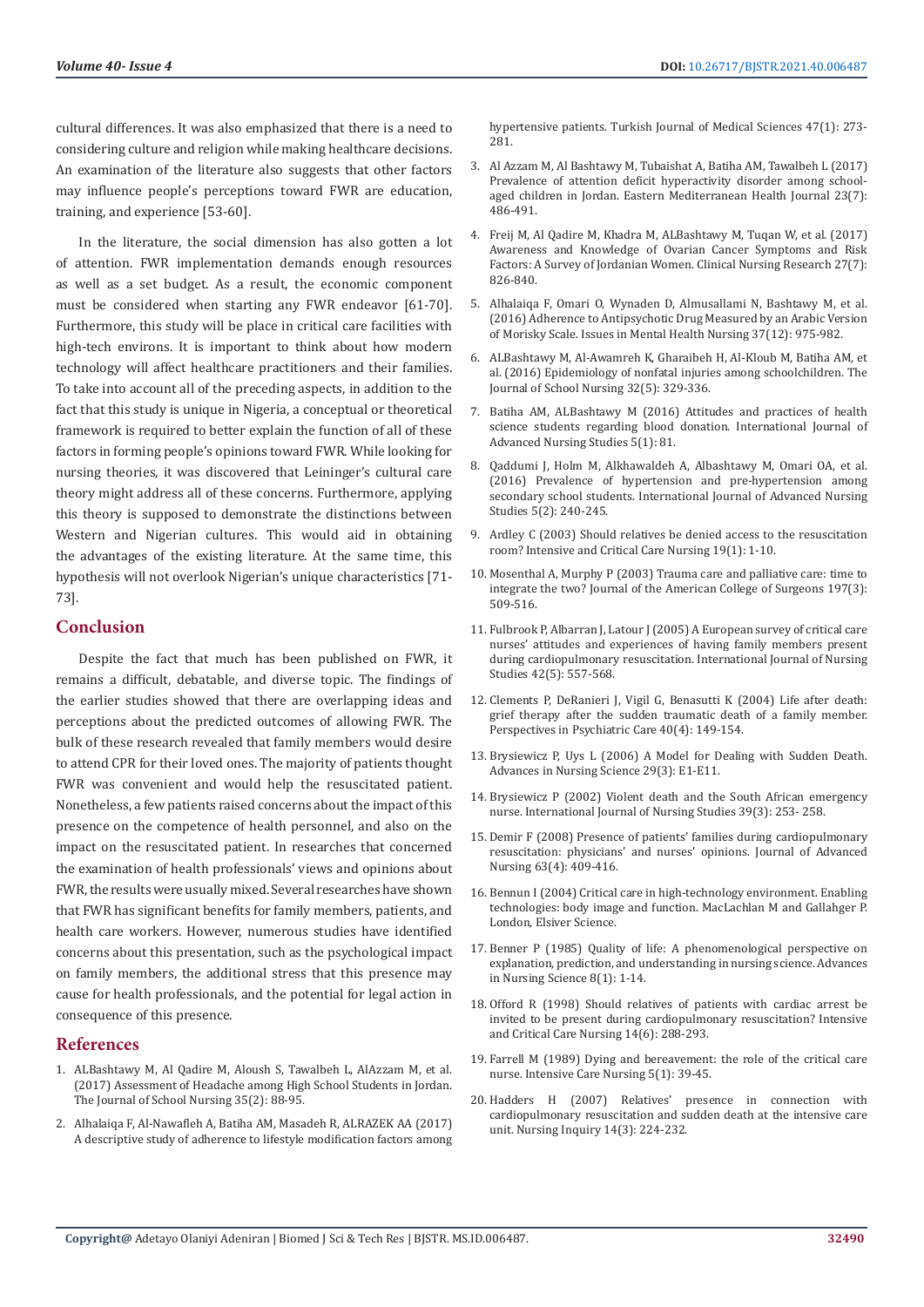cultural differences. It was also emphasized that there is a need to considering culture and religion while making healthcare decisions. An examination of the literature also suggests that other factors may influence people's perceptions toward FWR are education, training, and experience [53-60].

In the literature, the social dimension has also gotten a lot of attention. FWR implementation demands enough resources as well as a set budget. As a result, the economic component must be considered when starting any FWR endeavor [61-70]. Furthermore, this study will be place in critical care facilities with high-tech environs. It is important to think about how modern technology will affect healthcare practitioners and their families. To take into account all of the preceding aspects, in addition to the fact that this study is unique in Nigeria, a conceptual or theoretical framework is required to better explain the function of all of these factors in forming people's opinions toward FWR. While looking for nursing theories, it was discovered that Leininger's cultural care theory might address all of these concerns. Furthermore, applying this theory is supposed to demonstrate the distinctions between Western and Nigerian cultures. This would aid in obtaining the advantages of the existing literature. At the same time, this hypothesis will not overlook Nigerian's unique characteristics [71- 73].

### **Conclusion**

Despite the fact that much has been published on FWR, it remains a difficult, debatable, and diverse topic. The findings of the earlier studies showed that there are overlapping ideas and perceptions about the predicted outcomes of allowing FWR. The bulk of these research revealed that family members would desire to attend CPR for their loved ones. The majority of patients thought FWR was convenient and would help the resuscitated patient. Nonetheless, a few patients raised concerns about the impact of this presence on the competence of health personnel, and also on the impact on the resuscitated patient. In researches that concerned the examination of health professionals' views and opinions about FWR, the results were usually mixed. Several researches have shown that FWR has significant benefits for family members, patients, and health care workers. However, numerous studies have identified concerns about this presentation, such as the psychological impact on family members, the additional stress that this presence may cause for health professionals, and the potential for legal action in consequence of this presence.

#### **References**

- 1. [ALBashtawy M, Al Qadire M, Aloush S, Tawalbeh L, AlAzzam M, et al.](https://pubmed.ncbi.nlm.nih.gov/28982283/)  [\(2017\) Assessment of Headache among High School Students in Jordan.](https://pubmed.ncbi.nlm.nih.gov/28982283/)  [The Journal of School Nursing 35\(2\): 88-95.](https://pubmed.ncbi.nlm.nih.gov/28982283/)
- 2. [Alhalaiqa F, Al-Nawafleh A, Batiha AM, Masadeh R, ALRAZEK AA \(2017\)](https://pubmed.ncbi.nlm.nih.gov/28263501/)  [A descriptive study of adherence to lifestyle modification factors among](https://pubmed.ncbi.nlm.nih.gov/28263501/)

[hypertensive patients. Turkish Journal of Medical Sciences 47\(1\): 273-](https://pubmed.ncbi.nlm.nih.gov/28263501/) [281.](https://pubmed.ncbi.nlm.nih.gov/28263501/)

- 3. [Al Azzam M, Al Bashtawy M, Tubaishat A, Batiha AM, Tawalbeh L \(2017\)](https://pubmed.ncbi.nlm.nih.gov/28853132/) [Prevalence of attention deficit hyperactivity disorder among school](https://pubmed.ncbi.nlm.nih.gov/28853132/)[aged children in Jordan. Eastern Mediterranean Health Journal 23\(7\):](https://pubmed.ncbi.nlm.nih.gov/28853132/) [486-491.](https://pubmed.ncbi.nlm.nih.gov/28853132/)
- 4. [Freij M, Al Qadire M, Khadra M, ALBashtawy M, Tuqan W, et al. \(2017\)](https://pubmed.ncbi.nlm.nih.gov/28412839/) [Awareness and Knowledge of Ovarian Cancer Symptoms and Risk](https://pubmed.ncbi.nlm.nih.gov/28412839/) [Factors: A Survey of Jordanian Women. Clinical Nursing Research 27\(7\):](https://pubmed.ncbi.nlm.nih.gov/28412839/) [826-840.](https://pubmed.ncbi.nlm.nih.gov/28412839/)
- 5. [Alhalaiqa F, Omari O, Wynaden D, Almusallami N, Bashtawy M, et al.](https://pubmed.ncbi.nlm.nih.gov/27589367/) [\(2016\) Adherence to Antipsychotic Drug Measured by an Arabic Version](https://pubmed.ncbi.nlm.nih.gov/27589367/) [of Morisky Scale. Issues in Mental Health Nursing 37\(12\): 975-982.](https://pubmed.ncbi.nlm.nih.gov/27589367/)
- 6. [ALBashtawy M, Al-Awamreh K, Gharaibeh H, Al-Kloub M, Batiha AM, et](https://pubmed.ncbi.nlm.nih.gov/27255142/) [al. \(2016\) Epidemiology of nonfatal injuries among schoolchildren. The](https://pubmed.ncbi.nlm.nih.gov/27255142/) [Journal of School Nursing 32\(5\): 329-336.](https://pubmed.ncbi.nlm.nih.gov/27255142/)
- 7. [Batiha AM, ALBashtawy M \(2016\) Attitudes and practices of health](https://www.researchgate.net/publication/294104013_Attitudes_and_practices_of_health_science_students_regarding_blood_donation) [science students regarding blood donation. International Journal of](https://www.researchgate.net/publication/294104013_Attitudes_and_practices_of_health_science_students_regarding_blood_donation) [Advanced Nursing Studies 5\(1\): 81.](https://www.researchgate.net/publication/294104013_Attitudes_and_practices_of_health_science_students_regarding_blood_donation)
- 8. [Qaddumi J, Holm M, Alkhawaldeh A, Albashtawy M, Omari OA, et al.](https://www.researchgate.net/publication/310459683_Prevalence_of_hypertension_and_pre-hypertension_among_secondary_school_students) [\(2016\) Prevalence of hypertension and pre-hypertension among](https://www.researchgate.net/publication/310459683_Prevalence_of_hypertension_and_pre-hypertension_among_secondary_school_students) [secondary school students. International Journal of Advanced Nursing](https://www.researchgate.net/publication/310459683_Prevalence_of_hypertension_and_pre-hypertension_among_secondary_school_students) [Studies 5\(2\): 240-245.](https://www.researchgate.net/publication/310459683_Prevalence_of_hypertension_and_pre-hypertension_among_secondary_school_students)
- 9. [Ardley C \(2003\) Should relatives be denied access to the resuscitation](https://pubmed.ncbi.nlm.nih.gov/12590889/) [room? Intensive and Critical Care Nursing 19\(1\): 1-10.](https://pubmed.ncbi.nlm.nih.gov/12590889/)
- 10. [Mosenthal A, Murphy P \(2003\) Trauma care and palliative care: time to](https://pubmed.ncbi.nlm.nih.gov/12946807/) [integrate the two? Journal of the American College of Surgeons 197\(3\):](https://pubmed.ncbi.nlm.nih.gov/12946807/) [509-516.](https://pubmed.ncbi.nlm.nih.gov/12946807/)
- 11. [Fulbrook P, Albarran J, Latour J \(2005\) A European survey of critical care](https://pubmed.ncbi.nlm.nih.gov/15921987/) [nurses' attitudes and experiences of having family members present](https://pubmed.ncbi.nlm.nih.gov/15921987/) [during cardiopulmonary resuscitation. International Journal of Nursing](https://pubmed.ncbi.nlm.nih.gov/15921987/) [Studies 42\(5\): 557-568.](https://pubmed.ncbi.nlm.nih.gov/15921987/)
- 12. [Clements P, DeRanieri J, Vigil G, Benasutti K \(2004\) Life after death:](https://onlinelibrary.wiley.com/doi/abs/10.1111/j.1744-6163.2004.tb00012.x) [grief therapy after the sudden traumatic death of a family member.](https://onlinelibrary.wiley.com/doi/abs/10.1111/j.1744-6163.2004.tb00012.x) [Perspectives in Psychiatric Care 40\(4\): 149-154.](https://onlinelibrary.wiley.com/doi/abs/10.1111/j.1744-6163.2004.tb00012.x)
- 13. [Brysiewicz P, Uys L \(2006\) A Model for Dealing with Sudden Death.](https://pubmed.ncbi.nlm.nih.gov/17139197/) [Advances in Nursing Science 29\(3\): E1-E11.](https://pubmed.ncbi.nlm.nih.gov/17139197/)
- 14. [Brysiewicz P \(2002\) Violent death and the South African emergency](https://pubmed.ncbi.nlm.nih.gov/11864648/) [nurse. International Journal of Nursing Studies 39\(3\): 253- 258.](https://pubmed.ncbi.nlm.nih.gov/11864648/)
- 15. [Demir F \(2008\) Presence of patients' families during cardiopulmonary](https://pubmed.ncbi.nlm.nih.gov/18727768/) [resuscitation: physicians' and nurses' opinions. Journal of Advanced](https://pubmed.ncbi.nlm.nih.gov/18727768/) [Nursing 63\(4\): 409-416.](https://pubmed.ncbi.nlm.nih.gov/18727768/)
- 16. Bennun I (2004) Critical care in high-technology environment. Enabling technologies: body image and function. MacLachlan M and Gallahger P. London, Elsiver Science.
- 17. [Benner P \(1985\) Quality of life: A phenomenological perspective on](https://pubmed.ncbi.nlm.nih.gov/3933410/) [explanation, prediction, and understanding in nursing science. Advances](https://pubmed.ncbi.nlm.nih.gov/3933410/) [in Nursing Science 8\(1\): 1-14.](https://pubmed.ncbi.nlm.nih.gov/3933410/)
- 18. [Offord R \(1998\) Should relatives of patients with cardiac arrest be](https://pubmed.ncbi.nlm.nih.gov/10196912/) [invited to be present during cardiopulmonary resuscitation? Intensive](https://pubmed.ncbi.nlm.nih.gov/10196912/) [and Critical Care Nursing 14\(6\): 288-293.](https://pubmed.ncbi.nlm.nih.gov/10196912/)
- 19. [Farrell M \(1989\) Dying and bereavement: the role of the critical care](https://pubmed.ncbi.nlm.nih.gov/2926113/) [nurse. Intensive Care Nursing 5\(1\): 39-45.](https://pubmed.ncbi.nlm.nih.gov/2926113/)
- 20. [Hadders H \(2007\) Relatives' presence in connection with](https://pubmed.ncbi.nlm.nih.gov/17718748/) [cardiopulmonary resuscitation and sudden death at the intensive care](https://pubmed.ncbi.nlm.nih.gov/17718748/) [unit. Nursing Inquiry 14\(3\): 224-232.](https://pubmed.ncbi.nlm.nih.gov/17718748/)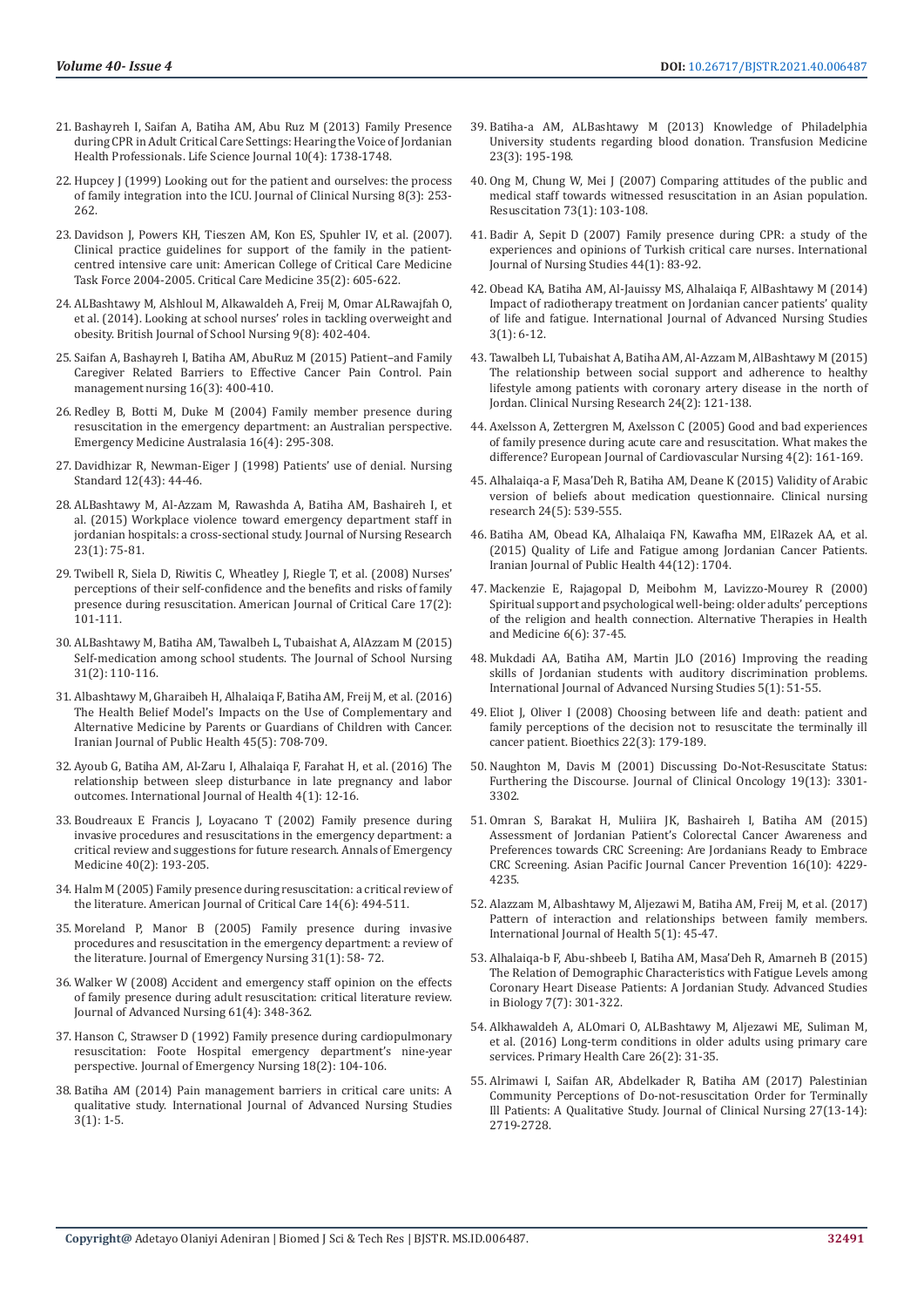- 21. [Bashayreh I, Saifan A, Batiha AM, Abu Ruz M \(2013\) Family Presence](https://www.researchgate.net/publication/261178434_Family_Presence_during_CPR_in_Adult_Critical_Care_Settings_Hearing_the_Voice_of_Jordanian_Health_Professionals)  [during CPR in Adult Critical Care Settings: Hearing the Voice of Jordanian](https://www.researchgate.net/publication/261178434_Family_Presence_during_CPR_in_Adult_Critical_Care_Settings_Hearing_the_Voice_of_Jordanian_Health_Professionals)  [Health Professionals. Life Science Journal 10\(4\): 1738-1748.](https://www.researchgate.net/publication/261178434_Family_Presence_during_CPR_in_Adult_Critical_Care_Settings_Hearing_the_Voice_of_Jordanian_Health_Professionals)
- 22. [Hupcey J \(1999\) Looking out for the patient and ourselves: the process](https://pubmed.ncbi.nlm.nih.gov/10578747/)  [of family integration into the ICU. Journal of Clinical Nursing 8\(3\): 253-](https://pubmed.ncbi.nlm.nih.gov/10578747/) [262.](https://pubmed.ncbi.nlm.nih.gov/10578747/)
- 23. [Davidson J, Powers KH, Tieszen AM, Kon ES, Spuhler IV, et al. \(2007\).](https://journals.lww.com/ccmjournal/Fulltext/2007/02000/Clinical_practice_guidelines_for_support_of_the.39.aspx)  [Clinical practice guidelines for support of the family in the patient](https://journals.lww.com/ccmjournal/Fulltext/2007/02000/Clinical_practice_guidelines_for_support_of_the.39.aspx)[centred intensive care unit: American College of Critical Care Medicine](https://journals.lww.com/ccmjournal/Fulltext/2007/02000/Clinical_practice_guidelines_for_support_of_the.39.aspx)  [Task Force 2004-2005. Critical Care Medicine 35\(2\): 605-622.](https://journals.lww.com/ccmjournal/Fulltext/2007/02000/Clinical_practice_guidelines_for_support_of_the.39.aspx)
- 24. [ALBashtawy M, Alshloul M, Alkawaldeh A, Freij M, Omar ALRawajfah O,](https://www.researchgate.net/publication/275580783_Looking_at_school_nurses)  [et al. \(2014\). Looking at school nurses' roles in tackling overweight and](https://www.researchgate.net/publication/275580783_Looking_at_school_nurses)  [obesity. British Journal of School Nursing 9\(8\): 402-404.](https://www.researchgate.net/publication/275580783_Looking_at_school_nurses)
- 25. [Saifan A, Bashayreh I, Batiha AM, AbuRuz M \(2015\) Patient–and Family](https://pubmed.ncbi.nlm.nih.gov/26025799/)  [Caregiver Related Barriers to Effective Cancer Pain Control. Pain](https://pubmed.ncbi.nlm.nih.gov/26025799/)  [management nursing 16\(3\): 400-410.](https://pubmed.ncbi.nlm.nih.gov/26025799/)
- 26. [Redley B, Botti M, Duke M \(2004\) Family member presence during](https://pubmed.ncbi.nlm.nih.gov/15283717/)  [resuscitation in the emergency department: an Australian perspective.](https://pubmed.ncbi.nlm.nih.gov/15283717/)  [Emergency Medicine Australasia 16\(4\): 295-308.](https://pubmed.ncbi.nlm.nih.gov/15283717/)
- 27. [Davidhizar R, Newman-Eiger J \(1998\) Patients' use of denial. Nursing](https://pubmed.ncbi.nlm.nih.gov/9776932/)  [Standard 12\(43\): 44-46.](https://pubmed.ncbi.nlm.nih.gov/9776932/)
- 28. [ALBashtawy M, Al-Azzam M, Rawashda A, Batiha AM, Bashaireh I, et](https://pubmed.ncbi.nlm.nih.gov/25668738/)  [al. \(2015\) Workplace violence toward emergency department staff in](https://pubmed.ncbi.nlm.nih.gov/25668738/)  [jordanian hospitals: a cross-sectional study. Journal of Nursing Research](https://pubmed.ncbi.nlm.nih.gov/25668738/)  [23\(1\): 75-81.](https://pubmed.ncbi.nlm.nih.gov/25668738/)
- 29. [Twibell R, Siela D, Riwitis C, Wheatley J, Riegle T, et al. \(2008\) Nurses'](https://pubmed.ncbi.nlm.nih.gov/18310646/)  [perceptions of their self-confidence and the benefits and risks of family](https://pubmed.ncbi.nlm.nih.gov/18310646/)  presence during resuscitation. American Journal of Critical Care 17(2): [101-111.](https://pubmed.ncbi.nlm.nih.gov/18310646/)
- 30. [ALBashtawy M, Batiha AM, Tawalbeh L, Tubaishat A, AlAzzam M \(2015\)](https://pubmed.ncbi.nlm.nih.gov/25318643/)  [Self-medication among school students. The Journal of School Nursing](https://pubmed.ncbi.nlm.nih.gov/25318643/)  [31\(2\): 110-116.](https://pubmed.ncbi.nlm.nih.gov/25318643/)
- 31. [Albashtawy M, Gharaibeh H, Alhalaiqa F, Batiha AM, Freij M, et al. \(2016\)](https://pubmed.ncbi.nlm.nih.gov/27398349/)  [The Health Belief Model's Impacts on the Use of Complementary and](https://pubmed.ncbi.nlm.nih.gov/27398349/)  [Alternative Medicine by Parents or Guardians of Children with Cancer.](https://pubmed.ncbi.nlm.nih.gov/27398349/)  [Iranian Journal of Public Health 45\(5\): 708-709.](https://pubmed.ncbi.nlm.nih.gov/27398349/)
- 32. [Ayoub G, Batiha AM, Al-Zaru I, Alhalaiqa F, Farahat H, et al. \(2016\) The](https://www.researchgate.net/publication/301316484_The_relationship_between_sleep_disturbance_in_late_pregnancy_and_labor_outcomes)  [relationship between sleep disturbance in late pregnancy and labor](https://www.researchgate.net/publication/301316484_The_relationship_between_sleep_disturbance_in_late_pregnancy_and_labor_outcomes)  [outcomes. International Journal of Health 4\(1\): 12-16.](https://www.researchgate.net/publication/301316484_The_relationship_between_sleep_disturbance_in_late_pregnancy_and_labor_outcomes)
- 33. [Boudreaux E Francis J, Loyacano T \(2002\) Family presence during](https://pubmed.ncbi.nlm.nih.gov/12140499/)  [invasive procedures and resuscitations in the emergency department: a](https://pubmed.ncbi.nlm.nih.gov/12140499/)  [critical review and suggestions for future research. Annals of Emergency](https://pubmed.ncbi.nlm.nih.gov/12140499/)  [Medicine 40\(2\): 193-205.](https://pubmed.ncbi.nlm.nih.gov/12140499/)
- 34. [Halm M \(2005\) Family presence during resuscitation: a critical review of](https://pubmed.ncbi.nlm.nih.gov/16249587/)  [the literature. American Journal of Critical Care 14\(6\): 494-511.](https://pubmed.ncbi.nlm.nih.gov/16249587/)
- 35. [Moreland P, Manor B \(2005\) Family presence during invasive](https://pubmed.ncbi.nlm.nih.gov/15682130/)  [procedures and resuscitation in the emergency department: a review of](https://pubmed.ncbi.nlm.nih.gov/15682130/)  [the literature. Journal of Emergency Nursing 31\(1\): 58- 72.](https://pubmed.ncbi.nlm.nih.gov/15682130/)
- 36. [Walker W \(2008\) Accident and emergency staff opinion on the effects](https://pubmed.ncbi.nlm.nih.gov/18234033/)  [of family presence during adult resuscitation: critical literature review.](https://pubmed.ncbi.nlm.nih.gov/18234033/)  [Journal of Advanced Nursing 61\(4\): 348-362.](https://pubmed.ncbi.nlm.nih.gov/18234033/)
- 37. [Hanson C, Strawser D \(1992\) Family presence during cardiopulmonary](https://pubmed.ncbi.nlm.nih.gov/1573794/)  [resuscitation: Foote Hospital emergency department's nine-year](https://pubmed.ncbi.nlm.nih.gov/1573794/)  [perspective. Journal of Emergency Nursing 18\(2\): 104-106.](https://pubmed.ncbi.nlm.nih.gov/1573794/)
- 38. [Batiha AM \(2014\) Pain management barriers in critical care units: A](https://www.researchgate.net/publication/269701970_Pain_Management_Barriers_in_Critical_Care_Units_A_Qualitative_study)  [qualitative study. International Journal of Advanced Nursing Studies](https://www.researchgate.net/publication/269701970_Pain_Management_Barriers_in_Critical_Care_Units_A_Qualitative_study)  [3\(1\): 1-5.](https://www.researchgate.net/publication/269701970_Pain_Management_Barriers_in_Critical_Care_Units_A_Qualitative_study)
- 39. [Batiha-a AM, ALBashtawy M \(2013\) Knowledge of Philadelphia](https://pubmed.ncbi.nlm.nih.gov/23521700/) [University students regarding blood donation. Transfusion Medicine](https://pubmed.ncbi.nlm.nih.gov/23521700/) [23\(3\): 195-198.](https://pubmed.ncbi.nlm.nih.gov/23521700/)
- 40. [Ong M, Chung W, Mei J \(2007\) Comparing attitudes of the public and](https://pubmed.ncbi.nlm.nih.gov/17254693/) [medical staff towards witnessed resuscitation in an Asian population.](https://pubmed.ncbi.nlm.nih.gov/17254693/) [Resuscitation 73\(1\): 103-108.](https://pubmed.ncbi.nlm.nih.gov/17254693/)
- 41. [Badir A, Sepit D \(2007\) Family presence during CPR: a study of the](https://pubmed.ncbi.nlm.nih.gov/16426618/) [experiences and opinions of Turkish critical care nurses. International](https://pubmed.ncbi.nlm.nih.gov/16426618/) [Journal of Nursing Studies 44\(1\): 83-92.](https://pubmed.ncbi.nlm.nih.gov/16426618/)
- 42. [Obead KA, Batiha AM, Al-Jauissy MS, Alhalaiqa F, AlBashtawy M \(2014\)](https://www.researchgate.net/publication/259283023_Impact_of_Radiotherapy_Treatment_on_Jordanian_Cancer_Patients) [Impact of radiotherapy treatment on Jordanian cancer patients' quality](https://www.researchgate.net/publication/259283023_Impact_of_Radiotherapy_Treatment_on_Jordanian_Cancer_Patients) [of life and fatigue. International Journal of Advanced Nursing Studies](https://www.researchgate.net/publication/259283023_Impact_of_Radiotherapy_Treatment_on_Jordanian_Cancer_Patients) [3\(1\): 6-12.](https://www.researchgate.net/publication/259283023_Impact_of_Radiotherapy_Treatment_on_Jordanian_Cancer_Patients)
- 43. [Tawalbeh LI, Tubaishat A, Batiha AM, Al-Azzam M, AlBashtawy M \(2015\)](https://pubmed.ncbi.nlm.nih.gov/24021210/) [The relationship between social support and adherence to healthy](https://pubmed.ncbi.nlm.nih.gov/24021210/) [lifestyle among patients with coronary artery disease in the north of](https://pubmed.ncbi.nlm.nih.gov/24021210/) [Jordan. Clinical Nursing Research 24\(2\): 121-138.](https://pubmed.ncbi.nlm.nih.gov/24021210/)
- 44. [Axelsson A, Zettergren M, Axelsson C \(2005\) Good and bad experiences](https://pubmed.ncbi.nlm.nih.gov/15904887/) [of family presence during acute care and resuscitation. What makes the](https://pubmed.ncbi.nlm.nih.gov/15904887/) [difference? European Journal of Cardiovascular Nursing 4\(2\): 161-169.](https://pubmed.ncbi.nlm.nih.gov/15904887/)
- 45. [Alhalaiqa-a F, Masa'Deh R, Batiha AM, Deane K \(2015\) Validity of Arabic](https://pubmed.ncbi.nlm.nih.gov/25106809/) [version of beliefs about medication questionnaire. Clinical nursing](https://pubmed.ncbi.nlm.nih.gov/25106809/) [research 24\(5\): 539-555.](https://pubmed.ncbi.nlm.nih.gov/25106809/)
- 46. [Batiha AM, Obead KA, Alhalaiqa FN, Kawafha MM, ElRazek AA, et al.](https://www.researchgate.net/publication/286732206_Quality_Of_Life_and_Fatigue_among_Jordanian_Cancer_Patients) [\(2015\) Quality of Life and Fatigue among Jordanian Cancer Patients.](https://www.researchgate.net/publication/286732206_Quality_Of_Life_and_Fatigue_among_Jordanian_Cancer_Patients) [Iranian Journal of Public Health 44\(12\): 1704.](https://www.researchgate.net/publication/286732206_Quality_Of_Life_and_Fatigue_among_Jordanian_Cancer_Patients)
- 47. [Mackenzie E, Rajagopal D, Meibohm M, Lavizzo-Mourey R \(2000\)](https://pubmed.ncbi.nlm.nih.gov/11076445/) [Spiritual support and psychological well-being: older adults' perceptions](https://pubmed.ncbi.nlm.nih.gov/11076445/) [of the religion and health connection. Alternative Therapies in Health](https://pubmed.ncbi.nlm.nih.gov/11076445/) [and Medicine 6\(6\): 37-45.](https://pubmed.ncbi.nlm.nih.gov/11076445/)
- 48. [Mukdadi AA, Batiha AM, Martin JLO \(2016\) Improving the reading](https://www.researchgate.net/publication/289519880_Improving_the_reading_skills_of_Jordanian_students_with_auditory_discrimination_problems) [skills of Jordanian students with auditory discrimination problems.](https://www.researchgate.net/publication/289519880_Improving_the_reading_skills_of_Jordanian_students_with_auditory_discrimination_problems) [International Journal of Advanced Nursing Studies 5\(1\): 51-55.](https://www.researchgate.net/publication/289519880_Improving_the_reading_skills_of_Jordanian_students_with_auditory_discrimination_problems)
- 49. [Eliot J, Oliver I \(2008\) Choosing between life and death: patient and](https://www.researchgate.net/publication/5594013_Choosing_between_life_and_death_Patient_and_family_perceptions_of_the_decision_not_to_resuscitate_the_terminally_ill_cancer_patient) [family perceptions of the decision not to resuscitate the terminally ill](https://www.researchgate.net/publication/5594013_Choosing_between_life_and_death_Patient_and_family_perceptions_of_the_decision_not_to_resuscitate_the_terminally_ill_cancer_patient) [cancer patient. Bioethics 22\(3\): 179-189.](https://www.researchgate.net/publication/5594013_Choosing_between_life_and_death_Patient_and_family_perceptions_of_the_decision_not_to_resuscitate_the_terminally_ill_cancer_patient)
- 50. [Naughton M, Davis M \(2001\) Discussing Do-Not-Resuscitate Status:](https://pubmed.ncbi.nlm.nih.gov/11432904/) [Furthering the Discourse. Journal of Clinical Oncology 19\(13\): 3301-](https://pubmed.ncbi.nlm.nih.gov/11432904/) [3302.](https://pubmed.ncbi.nlm.nih.gov/11432904/)
- 51. [Omran S, Barakat H, Muliira JK, Bashaireh I, Batiha AM \(2015\)](https://www.researchgate.net/publication/277602816_Assessment_of_Jordanian_Patient) [Assessment of Jordanian Patient's Colorectal Cancer Awareness and](https://www.researchgate.net/publication/277602816_Assessment_of_Jordanian_Patient) [Preferences towards CRC Screening: Are Jordanians Ready to Embrace](https://www.researchgate.net/publication/277602816_Assessment_of_Jordanian_Patient) [CRC Screening. Asian Pacific Journal Cancer Prevention 16\(10\): 4229-](https://www.researchgate.net/publication/277602816_Assessment_of_Jordanian_Patient) [4235.](https://www.researchgate.net/publication/277602816_Assessment_of_Jordanian_Patient)
- 52. [Alazzam M, Albashtawy M, Aljezawi M, Batiha AM, Freij M, et al. \(2017\)](https://www.researchgate.net/publication/314259181_Pattern_of_interaction_and_relationships_between_family_members) [Pattern of interaction and relationships between family members.](https://www.researchgate.net/publication/314259181_Pattern_of_interaction_and_relationships_between_family_members) [International Journal of Health 5\(1\): 45-47.](https://www.researchgate.net/publication/314259181_Pattern_of_interaction_and_relationships_between_family_members)
- 53. [Alhalaiqa-b F, Abu-shbeeb I, Batiha AM, Masa'Deh R, Amarneh B \(2015\)](https://www.researchgate.net/publication/278328245_The_Relation_of_Demographic_Characteristics_with_Fatigue_Levels_among_Coronary_Heart_Disease_Patients_A_Jordanian_Study) [The Relation of Demographic Characteristics with Fatigue Levels among](https://www.researchgate.net/publication/278328245_The_Relation_of_Demographic_Characteristics_with_Fatigue_Levels_among_Coronary_Heart_Disease_Patients_A_Jordanian_Study) [Coronary Heart Disease Patients: A Jordanian Study. Advanced Studies](https://www.researchgate.net/publication/278328245_The_Relation_of_Demographic_Characteristics_with_Fatigue_Levels_among_Coronary_Heart_Disease_Patients_A_Jordanian_Study) [in Biology 7\(7\): 301-322.](https://www.researchgate.net/publication/278328245_The_Relation_of_Demographic_Characteristics_with_Fatigue_Levels_among_Coronary_Heart_Disease_Patients_A_Jordanian_Study)
- 54. [Alkhawaldeh A, ALOmari O, ALBashtawy M, Aljezawi ME, Suliman M,](https://www.researchgate.net/publication/296484409_Long-term_conditions_in_older_adults_using_primary_care_services) [et al. \(2016\) Long-term conditions in older adults using primary care](https://www.researchgate.net/publication/296484409_Long-term_conditions_in_older_adults_using_primary_care_services) [services. Primary Health Care 26\(2\): 31-35.](https://www.researchgate.net/publication/296484409_Long-term_conditions_in_older_adults_using_primary_care_services)
- 55. [Alrimawi I, Saifan AR, Abdelkader R, Batiha AM \(2017\) Palestinian](https://pubmed.ncbi.nlm.nih.gov/28557015/) [Community Perceptions of Do-not-resuscitation Order for Terminally](https://pubmed.ncbi.nlm.nih.gov/28557015/) [Ill Patients: A Qualitative Study. Journal of Clinical Nursing 27\(13-14\):](https://pubmed.ncbi.nlm.nih.gov/28557015/) [2719-2728.](https://pubmed.ncbi.nlm.nih.gov/28557015/)